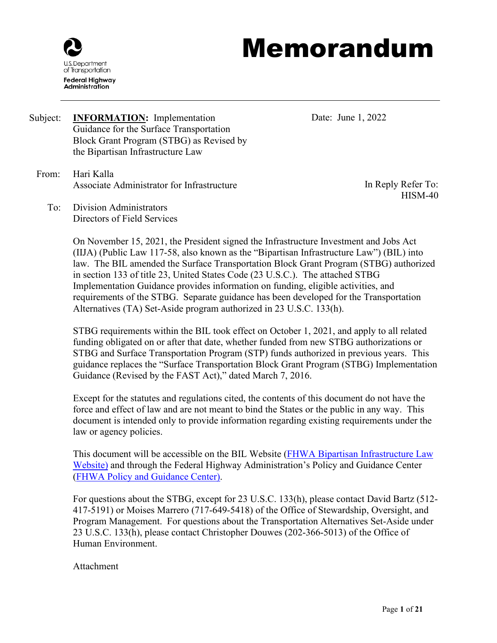

# Memorandum

- Subject: **INFORMATION:** Implementation Guidance for the Surface Transportation Block Grant Program (STBG) as Revised by the Bipartisan Infrastructure Law
	- From: Hari Kalla Associate Administrator for Infrastructure

Date: June 1, 2022

In Reply Refer To: HISM-40

To: Division Administrators Directors of Field Services

> On November 15, 2021, the President signed the Infrastructure Investment and Jobs Act (IIJA) (Public Law 117-58, also known as the "Bipartisan Infrastructure Law") (BIL) into law. The BIL amended the Surface Transportation Block Grant Program (STBG) authorized in section 133 of title 23, United States Code (23 U.S.C.). The attached STBG Implementation Guidance provides information on funding, eligible activities, and requirements of the STBG. Separate guidance has been developed for the Transportation Alternatives (TA) Set-Aside program authorized in 23 U.S.C. 133(h).

> STBG requirements within the BIL took effect on October 1, 2021, and apply to all related funding obligated on or after that date, whether funded from new STBG authorizations or STBG and Surface Transportation Program (STP) funds authorized in previous years. This guidance replaces the "Surface Transportation Block Grant Program (STBG) Implementation Guidance (Revised by the FAST Act)," dated March 7, 2016.

Except for the statutes and regulations cited, the contents of this document do not have the force and effect of law and are not meant to bind the States or the public in any way. This document is intended only to provide information regarding existing requirements under the law or agency policies.

This document will be accessible on the BIL Website [\(FHWA Bipartisan Infrastructure Law](https://www.fhwa.dot.gov/bipartisan-infrastructure-law/)  [Website\)](https://www.fhwa.dot.gov/bipartisan-infrastructure-law/) and through the Federal Highway Administration's Policy and Guidance Center [\(FHWA Policy and Guidance Center\)](https://www.fhwa.dot.gov/pgc/).

For questions about the STBG, except for 23 U.S.C. 133(h), please contact David Bartz (512- 417-5191) or Moises Marrero (717-649-5418) of the Office of Stewardship, Oversight, and Program Management. For questions about the Transportation Alternatives Set-Aside under 23 U.S.C. 133(h), please contact Christopher Douwes (202-366-5013) of the Office of Human Environment.

Attachment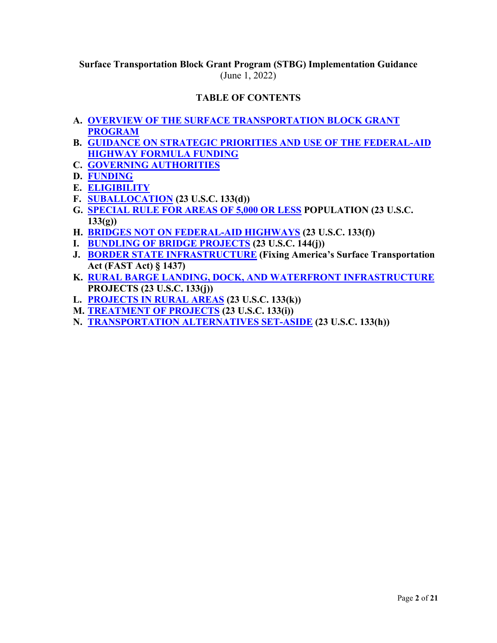# **Surface Transportation Block Grant Program (STBG) Implementation Guidance** (June 1, 2022)

# **TABLE OF CONTENTS**

- **A. [OVERVIEW OF THE SURFACE TRANSPORTATION BLOCK GRANT](#page-2-0)  [PROGRAM](#page-2-0)**
- **B. GUIDANCE ON STRATEGIC [PRIORITIES AND USE OF THE FEDERAL-AID](#page-2-1)  [HIGHWAY FORMULA FUNDING](#page-2-1)**
- **C. [GOVERNING AUTHORITIES](#page-7-0)**
- **D. [FUNDING](#page-7-1)**
- **E. [ELIGIBILITY](#page-11-0)**
- **F. [SUBALLOCATION](#page-16-0) (23 U.S.C. 133(d))**
- **G. [SPECIAL RULE FOR AREAS OF 5,000 OR LESS](#page-17-0) POPULATION (23 U.S.C. 133(g))**
- **H. [BRIDGES NOT ON FEDERAL-AID HIGHWAYS](#page-17-1) (23 U.S.C. 133(f))**
- **I. [BUNDLING OF BRIDGE PROJECTS](#page-18-0) (23 U.S.C. 144(j))**
- **J. [BORDER STATE INFRASTRUCTURE](#page-18-1) (Fixing America's Surface Transportation Act (FAST Act) § 1437)**
- **K. [RURAL BARGE LANDING, DOCK, AND WATERFRONT INFRASTRUCTURE](#page-19-0) PROJECTS (23 U.S.C. 133(j))**
- **L. [PROJECTS IN RURAL AREAS](#page-19-1) (23 U.S.C. 133(k))**
- **M. [TREATMENT OF PROJECTS](#page-19-2) (23 U.S.C. 133(i))**
- **N. [TRANSPORTATION ALTERNATIVES SET-ASIDE](#page-20-0) (23 U.S.C. 133(h))**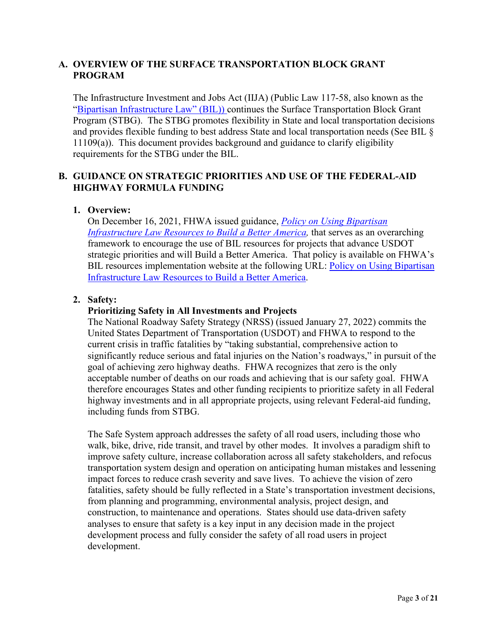## <span id="page-2-0"></span>**A. OVERVIEW OF THE SURFACE TRANSPORTATION BLOCK GRANT PROGRAM**

The Infrastructure Investment and Jobs Act (IIJA) (Public Law 117-58, also known as the ["Bipartisan Infrastructure Law" \(BIL\)\)](https://www.congress.gov/117/bills/hr3684/BILLS-117hr3684enr.pdf) continues the Surface Transportation Block Grant Program (STBG). The STBG promotes flexibility in State and local transportation decisions and provides flexible funding to best address State and local transportation needs (See BIL § 11109(a)). This document provides background and guidance to clarify eligibility requirements for the STBG under the BIL.

# <span id="page-2-1"></span>**B. GUIDANCE ON STRATEGIC PRIORITIES AND USE OF THE FEDERAL-AID HIGHWAY FORMULA FUNDING**

#### **1. Overview:**

On December 16, 2021, FHWA issued guidance, *[Policy on Using Bipartisan](https://www.fhwa.dot.gov/bipartisan-infrastructure-law/building_a_better_america-policy_framework.cfm)  Infrastructure Law Resources to Build a Better America*, that serves as an overarching framework to encourage the use of BIL resources for projects that advance USDOT strategic priorities and will Build a Better America. That policy is available on FHWA's BIL resources implementation website at the following URL: Policy on Using Bipartisan [Infrastructure Law Resources to Build a Better America.](https://www.fhwa.dot.gov/bipartisan-infrastructure-law/building_a_better_america-policy_framework.cfm)

#### **2. Safety:**

#### **Prioritizing Safety in All Investments and Projects**

The National Roadway Safety Strategy (NRSS) (issued January 27, 2022) commits the United States Department of Transportation (USDOT) and FHWA to respond to the current crisis in traffic fatalities by "taking substantial, comprehensive action to significantly reduce serious and fatal injuries on the Nation's roadways," in pursuit of the goal of achieving zero highway deaths. FHWA recognizes that zero is the only acceptable number of deaths on our roads and achieving that is our safety goal. FHWA therefore encourages States and other funding recipients to prioritize safety in all Federal highway investments and in all appropriate projects, using relevant Federal-aid funding, including funds from STBG.

The Safe System approach addresses the safety of all road users, including those who walk, bike, drive, ride transit, and travel by other modes. It involves a paradigm shift to improve safety culture, increase collaboration across all safety stakeholders, and refocus transportation system design and operation on anticipating human mistakes and lessening impact forces to reduce crash severity and save lives. To achieve the vision of zero fatalities, safety should be fully reflected in a State's transportation investment decisions, from planning and programming, environmental analysis, project design, and construction, to maintenance and operations. States should use data-driven safety analyses to ensure that safety is a key input in any decision made in the project development process and fully consider the safety of all road users in project development.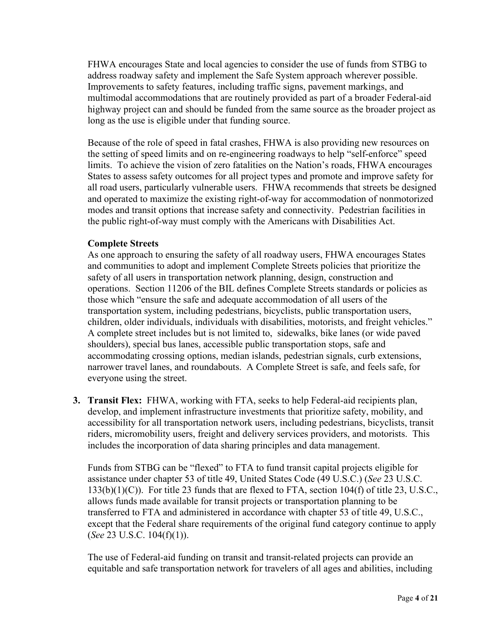FHWA encourages State and local agencies to consider the use of funds from STBG to address roadway safety and implement the Safe System approach wherever possible. Improvements to safety features, including traffic signs, pavement markings, and multimodal accommodations that are routinely provided as part of a broader Federal-aid highway project can and should be funded from the same source as the broader project as long as the use is eligible under that funding source.

Because of the role of speed in fatal crashes, FHWA is also providing new resources on the setting of speed limits and on re-engineering roadways to help "self-enforce" speed limits. To achieve the vision of zero fatalities on the Nation's roads, FHWA encourages States to assess safety outcomes for all project types and promote and improve safety for all road users, particularly vulnerable users. FHWA recommends that streets be designed and operated to maximize the existing right-of-way for accommodation of nonmotorized modes and transit options that increase safety and connectivity. Pedestrian facilities in the public right-of-way must comply with the Americans with Disabilities Act.

#### **Complete Streets**

As one approach to ensuring the safety of all roadway users, FHWA encourages States and communities to adopt and implement Complete Streets policies that prioritize the safety of all users in transportation network planning, design, construction and operations. Section 11206 of the BIL defines Complete Streets standards or policies as those which "ensure the safe and adequate accommodation of all users of the transportation system, including pedestrians, bicyclists, public transportation users, children, older individuals, individuals with disabilities, motorists, and freight vehicles." A complete street includes but is not limited to, sidewalks, bike lanes (or wide paved shoulders), special bus lanes, accessible public transportation stops, safe and accommodating crossing options, median islands, pedestrian signals, curb extensions, narrower travel lanes, and roundabouts. A Complete Street is safe, and feels safe, for everyone using the street.

**3. Transit Flex:** FHWA, working with FTA, seeks to help Federal-aid recipients plan, develop, and implement infrastructure investments that prioritize safety, mobility, and accessibility for all transportation network users, including pedestrians, bicyclists, transit riders, micromobility users, freight and delivery services providers, and motorists. This includes the incorporation of data sharing principles and data management.

Funds from STBG can be "flexed" to FTA to fund transit capital projects eligible for assistance under chapter 53 of title 49, United States Code (49 U.S.C.) (*See* 23 U.S.C. 133(b)(1)(C)). For title 23 funds that are flexed to FTA, section 104(f) of title 23, U.S.C., allows funds made available for transit projects or transportation planning to be transferred to FTA and administered in accordance with chapter 53 of title 49, U.S.C., except that the Federal share requirements of the original fund category continue to apply (*See* 23 U.S.C. 104(f)(1)).

The use of Federal-aid funding on transit and transit-related projects can provide an equitable and safe transportation network for travelers of all ages and abilities, including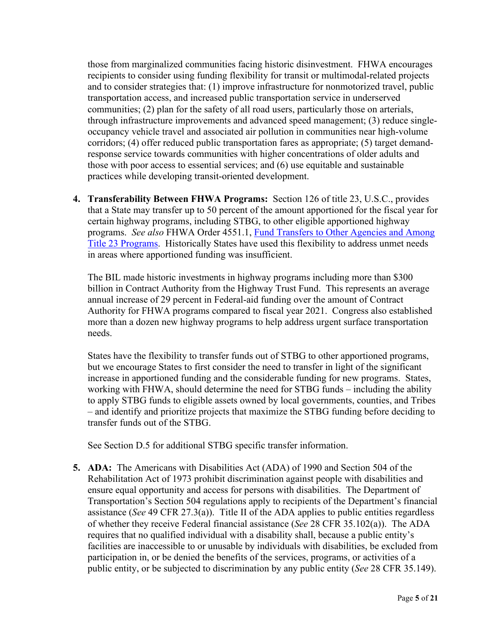those from marginalized communities facing historic disinvestment. FHWA encourages recipients to consider using funding flexibility for transit or multimodal-related projects and to consider strategies that: (1) improve infrastructure for nonmotorized travel, public transportation access, and increased public transportation service in underserved communities; (2) plan for the safety of all road users, particularly those on arterials, through infrastructure improvements and advanced speed management; (3) reduce singleoccupancy vehicle travel and associated air pollution in communities near high-volume corridors; (4) offer reduced public transportation fares as appropriate; (5) target demandresponse service towards communities with higher concentrations of older adults and those with poor access to essential services; and (6) use equitable and sustainable practices while developing transit-oriented development.

**4. Transferability Between FHWA Programs:** Section 126 of title 23, U.S.C., provides that a State may transfer up to 50 percent of the amount apportioned for the fiscal year for certain highway programs, including STBG, to other eligible apportioned highway programs. *See also* FHWA Order 4551.1, [Fund Transfers to Other Agencies and Among](http://www.fhwa.dot.gov/legsregs/directives/orders/45511.cfm)  [Title 23 Programs.](http://www.fhwa.dot.gov/legsregs/directives/orders/45511.cfm) Historically States have used this flexibility to address unmet needs in areas where apportioned funding was insufficient.

The BIL made historic investments in highway programs including more than \$300 billion in Contract Authority from the Highway Trust Fund. This represents an average annual increase of 29 percent in Federal-aid funding over the amount of Contract Authority for FHWA programs compared to fiscal year 2021. Congress also established more than a dozen new highway programs to help address urgent surface transportation needs.

States have the flexibility to transfer funds out of STBG to other apportioned programs, but we encourage States to first consider the need to transfer in light of the significant increase in apportioned funding and the considerable funding for new programs. States, working with FHWA, should determine the need for STBG funds – including the ability to apply STBG funds to eligible assets owned by local governments, counties, and Tribes – and identify and prioritize projects that maximize the STBG funding before deciding to transfer funds out of the STBG.

See Section D.5 for additional STBG specific transfer information.

**5. ADA:** The Americans with Disabilities Act (ADA) of 1990 and Section 504 of the Rehabilitation Act of 1973 prohibit discrimination against people with disabilities and ensure equal opportunity and access for persons with disabilities. The Department of Transportation's Section 504 regulations apply to recipients of the Department's financial assistance (*See* 49 CFR 27.3(a)). Title II of the ADA applies to public entities regardless of whether they receive Federal financial assistance (*See* 28 CFR 35.102(a)). The ADA requires that no qualified individual with a disability shall, because a public entity's facilities are inaccessible to or unusable by individuals with disabilities, be excluded from participation in, or be denied the benefits of the services, programs, or activities of a public entity, or be subjected to discrimination by any public entity (*See* 28 CFR 35.149).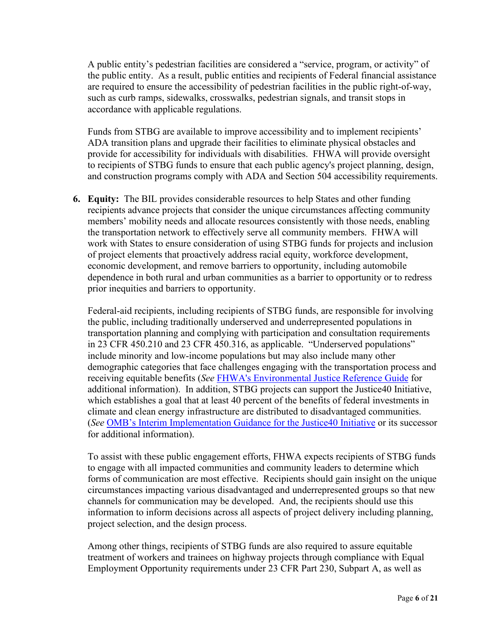A public entity's pedestrian facilities are considered a "service, program, or activity" of the public entity. As a result, public entities and recipients of Federal financial assistance are required to ensure the accessibility of pedestrian facilities in the public right-of-way, such as curb ramps, sidewalks, crosswalks, pedestrian signals, and transit stops in accordance with applicable regulations.

Funds from STBG are available to improve accessibility and to implement recipients' ADA transition plans and upgrade their facilities to eliminate physical obstacles and provide for accessibility for individuals with disabilities. FHWA will provide oversight to recipients of STBG funds to ensure that each public agency's project planning, design, and construction programs comply with ADA and Section 504 accessibility requirements.

**6. Equity:** The BIL provides considerable resources to help States and other funding recipients advance projects that consider the unique circumstances affecting community members' mobility needs and allocate resources consistently with those needs, enabling the transportation network to effectively serve all community members. FHWA will work with States to ensure consideration of using STBG funds for projects and inclusion of project elements that proactively address racial equity, workforce development, economic development, and remove barriers to opportunity, including automobile dependence in both rural and urban communities as a barrier to opportunity or to redress prior inequities and barriers to opportunity.

Federal-aid recipients, including recipients of STBG funds, are responsible for involving the public, including traditionally underserved and underrepresented populations in transportation planning and complying with participation and consultation requirements in 23 CFR 450.210 and 23 CFR 450.316, as applicable. "Underserved populations" include minority and low-income populations but may also include many other demographic categories that face challenges engaging with the transportation process and receiving equitable benefits (*See* [FHWA's Environmental Justice Reference Guide](https://www.fhwa.dot.gov/environment/environmental_justice/publications/reference_guide_2015/fhwahep15035..pdf) for additional information). In addition, STBG projects can support the Justice40 Initiative, which establishes a goal that at least 40 percent of the benefits of federal investments in climate and clean energy infrastructure are distributed to disadvantaged communities. (*See* [OMB's Interim Implementation Guidance for the Justice40 Initiative](https://www.whitehouse.gov/wp-content/uploads/2021/07/M-21-28.pdf) or its successor for additional information).

To assist with these public engagement efforts, FHWA expects recipients of STBG funds to engage with all impacted communities and community leaders to determine which forms of communication are most effective. Recipients should gain insight on the unique circumstances impacting various disadvantaged and underrepresented groups so that new channels for communication may be developed. And, the recipients should use this information to inform decisions across all aspects of project delivery including planning, project selection, and the design process.

Among other things, recipients of STBG funds are also required to assure equitable treatment of workers and trainees on highway projects through compliance with Equal Employment Opportunity requirements under 23 CFR Part 230, Subpart A, as well as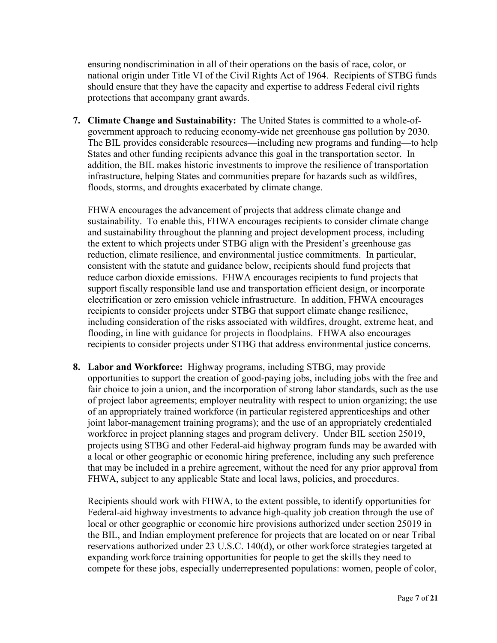ensuring nondiscrimination in all of their operations on the basis of race, color, or national origin under Title VI of the Civil Rights Act of 1964. Recipients of STBG funds should ensure that they have the capacity and expertise to address Federal civil rights protections that accompany grant awards.

**7. Climate Change and Sustainability:** The United States is committed to a whole-ofgovernment approach to reducing economy-wide net greenhouse gas pollution by 2030. The BIL provides considerable resources—including new programs and funding—to help States and other funding recipients advance this goal in the transportation sector. In addition, the BIL makes historic investments to improve the resilience of transportation infrastructure, helping States and communities prepare for hazards such as wildfires, floods, storms, and droughts exacerbated by climate change.

FHWA encourages the advancement of projects that address climate change and sustainability. To enable this, FHWA encourages recipients to consider climate change and sustainability throughout the planning and project development process, including the extent to which projects under STBG align with the President's greenhouse gas reduction, climate resilience, and environmental justice commitments. In particular, consistent with the statute and guidance below, recipients should fund projects that reduce carbon dioxide emissions. FHWA encourages recipients to fund projects that support fiscally responsible land use and transportation efficient design, or incorporate electrification or zero emission vehicle infrastructure. In addition, FHWA encourages recipients to consider projects under STBG that support climate change resilience, including consideration of the risks associated with wildfires, drought, extreme heat, and flooding, in line with guidance for projects in floodplains. FHWA also encourages recipients to consider projects under STBG that address environmental justice concerns.

**8. Labor and Workforce:** Highway programs, including STBG, may provide opportunities to support the creation of good-paying jobs, including jobs with the free and fair choice to join a union, and the incorporation of strong labor standards, such as the use of project labor agreements; employer neutrality with respect to union organizing; the use of an appropriately trained workforce (in particular registered apprenticeships and other joint labor-management training programs); and the use of an appropriately credentialed workforce in project planning stages and program delivery. Under BIL section 25019, projects using STBG and other Federal-aid highway program funds may be awarded with a local or other geographic or economic hiring preference, including any such preference that may be included in a prehire agreement, without the need for any prior approval from FHWA, subject to any applicable State and local laws, policies, and procedures.

Recipients should work with FHWA, to the extent possible, to identify opportunities for Federal-aid highway investments to advance high-quality job creation through the use of local or other geographic or economic hire provisions authorized under section 25019 in the BIL, and Indian employment preference for projects that are located on or near Tribal reservations authorized under 23 U.S.C. 140(d), or other workforce strategies targeted at expanding workforce training opportunities for people to get the skills they need to compete for these jobs, especially underrepresented populations: women, people of color,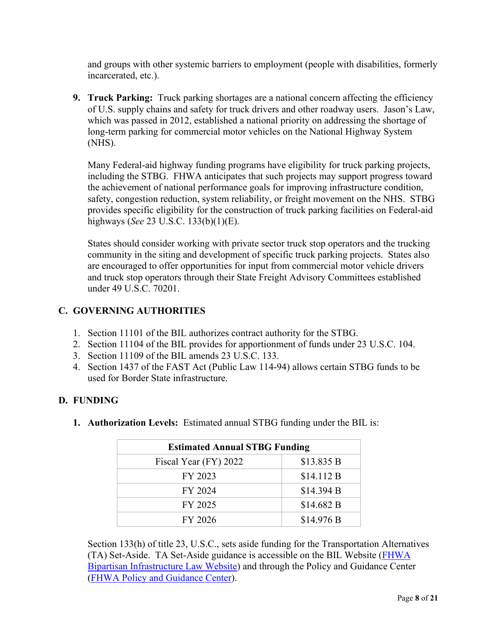and groups with other systemic barriers to employment (people with disabilities, formerly incarcerated, etc.).

**9. Truck Parking:** Truck parking shortages are a national concern affecting the efficiency of U.S. supply chains and safety for truck drivers and other roadway users. Jason's Law, which was passed in 2012, established a national priority on addressing the shortage of long-term parking for commercial motor vehicles on the National Highway System (NHS).

Many Federal-aid highway funding programs have eligibility for truck parking projects, including the STBG. FHWA anticipates that such projects may support progress toward the achievement of national performance goals for improving infrastructure condition, safety, congestion reduction, system reliability, or freight movement on the NHS. STBG provides specific eligibility for the construction of truck parking facilities on Federal-aid highways (*See* 23 U.S.C. 133(b)(1)(E).

States should consider working with private sector truck stop operators and the trucking community in the siting and development of specific truck parking projects. States also are encouraged to offer opportunities for input from commercial motor vehicle drivers and truck stop operators through their State Freight Advisory Committees established under 49 U.S.C. 70201.

# <span id="page-7-0"></span>**C. GOVERNING AUTHORITIES**

- 1. Section 11101 of the BIL authorizes contract authority for the STBG.
- 2. Section 11104 of the BIL provides for apportionment of funds under 23 U.S.C. 104.
- 3. Section 11109 of the BIL amends 23 U.S.C. 133.
- 4. Section 1437 of the FAST Act (Public Law 114-94) allows certain STBG funds to be used for Border State infrastructure.

## <span id="page-7-1"></span>**D. FUNDING**

**1. Authorization Levels:** Estimated annual STBG funding under the BIL is:

| <b>Estimated Annual STBG Funding</b> |            |  |
|--------------------------------------|------------|--|
| Fiscal Year (FY) 2022                | \$13.835 B |  |
| FY 2023                              | \$14.112 B |  |
| FY 2024                              | \$14.394 B |  |
| FY 2025                              | \$14.682 B |  |
| FY 2026                              | \$14.976 B |  |

Section 133(h) of title 23, U.S.C., sets aside funding for the Transportation Alternatives (TA) Set-Aside. TA Set-Aside guidance is accessible on the BIL Website [\(FHWA](https://www.fhwa.dot.gov/bipartisan-infrastructure-law/)  [Bipartisan Infrastructure Law Website\)](https://www.fhwa.dot.gov/bipartisan-infrastructure-law/) and through the Policy and Guidance Center [\(FHWA Policy and Guidance Center\)](https://www.fhwa.dot.gov/pgc/).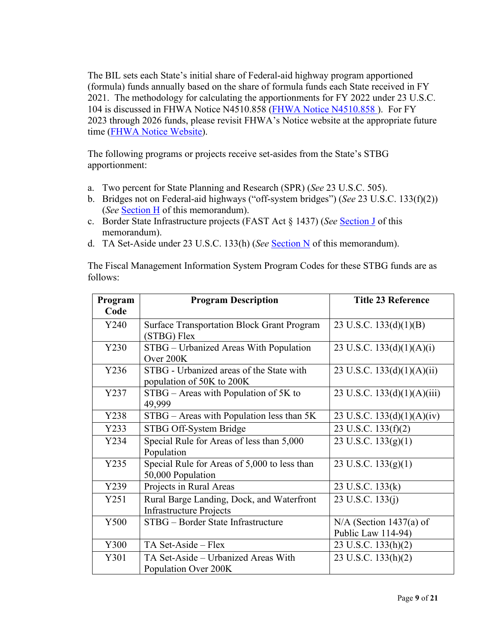The BIL sets each State's initial share of Federal-aid highway program apportioned (formula) funds annually based on the share of formula funds each State received in FY 2021. The methodology for calculating the apportionments for FY 2022 under 23 U.S.C. 104 is discussed in FHWA Notice N4510.858 [\(FHWA Notice N4510.858 \)](https://www.fhwa.dot.gov/legsregs/directives/notices/n4510858/). For FY 2023 through 2026 funds, please revisit FHWA's Notice website at the appropriate future time [\(FHWA Notice Website\)](https://www.fhwa.dot.gov/legsregs/directives/notices/).

The following programs or projects receive set-asides from the State's STBG apportionment:

- a. Two percent for State Planning and Research (SPR) (*See* 23 U.S.C. 505).
- b. Bridges not on Federal-aid highways ("off-system bridges") (*See* 23 U.S.C. 133(f)(2)) (*See* [Section H](#page-17-1) of this memorandum).
- c. Border State Infrastructure projects (FAST Act § 1437) (*See* [Section J](#page-18-1) of this memorandum).
- d. TA Set-Aside under 23 U.S.C. 133(h) (*See* [Section N](#page-20-0) of this memorandum).

The Fiscal Management Information System Program Codes for these STBG funds are as follows:

| Program | <b>Program Description</b>                        | <b>Title 23 Reference</b>     |
|---------|---------------------------------------------------|-------------------------------|
| Code    |                                                   |                               |
| Y240    | <b>Surface Transportation Block Grant Program</b> | 23 U.S.C. $133(d)(1)(B)$      |
|         | (STBG) Flex                                       |                               |
| Y230    | STBG – Urbanized Areas With Population            | 23 U.S.C. $133(d)(1)(A)(i)$   |
|         | Over 200K                                         |                               |
| Y236    | STBG - Urbanized areas of the State with          | 23 U.S.C. 133(d)(1)(A)(ii)    |
|         | population of 50K to 200K                         |                               |
| Y237    | $STBG - Areas with Population of 5K to$           | 23 U.S.C. $133(d)(1)(A)(iii)$ |
|         | 49,999                                            |                               |
| Y238    | STBG - Areas with Population less than 5K         | 23 U.S.C. $133(d)(1)(A)(iv)$  |
| Y233    | STBG Off-System Bridge                            | 23 U.S.C. 133(f)(2)           |
| Y234    | Special Rule for Areas of less than 5,000         | 23 U.S.C. $133(g)(1)$         |
|         | Population                                        |                               |
| Y235    | Special Rule for Areas of 5,000 to less than      | 23 U.S.C. $133(g)(1)$         |
|         | 50,000 Population                                 |                               |
| Y239    | Projects in Rural Areas                           | 23 U.S.C. 133(k)              |
| Y251    | Rural Barge Landing, Dock, and Waterfront         | 23 U.S.C. 133(j)              |
|         | <b>Infrastructure Projects</b>                    |                               |
| Y500    | STBG - Border State Infrastructure                | $N/A$ (Section 1437(a) of     |
|         |                                                   | Public Law 114-94)            |
| Y300    | TA Set-Aside - Flex                               | 23 U.S.C. 133(h)(2)           |
| Y301    | TA Set-Aside - Urbanized Areas With               | 23 U.S.C. 133(h)(2)           |
|         | Population Over 200K                              |                               |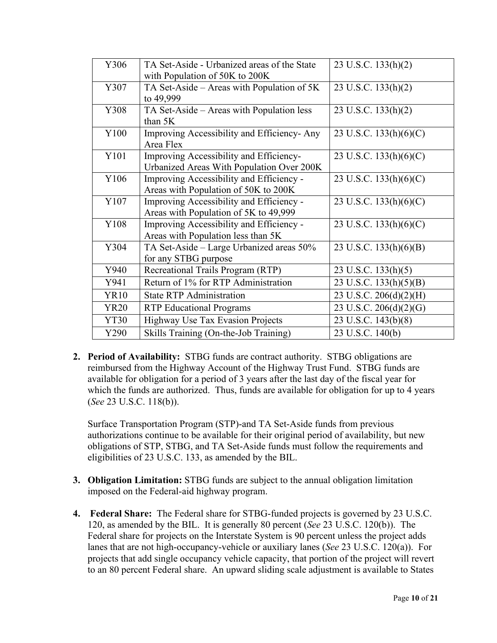| Y306        | TA Set-Aside - Urbanized areas of the State | 23 U.S.C. 133(h)(2)      |
|-------------|---------------------------------------------|--------------------------|
|             | with Population of 50K to 200K              |                          |
| Y307        | TA Set-Aside – Areas with Population of 5K  | 23 U.S.C. $133(h)(2)$    |
|             | to 49,999                                   |                          |
| Y308        | TA Set-Aside – Areas with Population less   | 23 U.S.C. 133(h)(2)      |
|             | than 5K                                     |                          |
| Y100        | Improving Accessibility and Efficiency-Any  | 23 U.S.C. $133(h)(6)(C)$ |
|             | Area Flex                                   |                          |
| Y101        | Improving Accessibility and Efficiency-     | 23 U.S.C. 133(h)(6)(C)   |
|             | Urbanized Areas With Population Over 200K   |                          |
| Y106        | Improving Accessibility and Efficiency -    | 23 U.S.C. $133(h)(6)(C)$ |
|             | Areas with Population of 50K to 200K        |                          |
| Y107        | Improving Accessibility and Efficiency -    | 23 U.S.C. $133(h)(6)(C)$ |
|             | Areas with Population of 5K to 49,999       |                          |
| Y108        | Improving Accessibility and Efficiency -    | 23 U.S.C. 133(h)(6)(C)   |
|             | Areas with Population less than 5K          |                          |
| Y304        | TA Set-Aside - Large Urbanized areas 50%    | 23 U.S.C. 133(h)(6)(B)   |
|             | for any STBG purpose                        |                          |
| Y940        | Recreational Trails Program (RTP)           | 23 U.S.C. 133(h)(5)      |
| Y941        | Return of 1% for RTP Administration         | 23 U.S.C. 133(h)(5)(B)   |
| <b>YR10</b> | <b>State RTP Administration</b>             | 23 U.S.C. 206(d)(2)(H)   |
| <b>YR20</b> | <b>RTP</b> Educational Programs             | 23 U.S.C. 206(d)(2)(G)   |
| <b>YT30</b> | Highway Use Tax Evasion Projects            | 23 U.S.C. 143(b)(8)      |
| Y290        | Skills Training (On-the-Job Training)       | 23 U.S.C. 140(b)         |

**2. Period of Availability:** STBG funds are contract authority. STBG obligations are reimbursed from the Highway Account of the Highway Trust Fund. STBG funds are available for obligation for a period of 3 years after the last day of the fiscal year for which the funds are authorized. Thus, funds are available for obligation for up to 4 years (*See* 23 U.S.C. 118(b)).

Surface Transportation Program (STP)-and TA Set-Aside funds from previous authorizations continue to be available for their original period of availability, but new obligations of STP, STBG, and TA Set-Aside funds must follow the requirements and eligibilities of 23 U.S.C. 133, as amended by the BIL.

- **3. Obligation Limitation:** STBG funds are subject to the annual obligation limitation imposed on the Federal-aid highway program.
- **4. Federal Share:** The Federal share for STBG-funded projects is governed by 23 U.S.C. 120, as amended by the BIL. It is generally 80 percent (*See* 23 U.S.C. 120(b)). The Federal share for projects on the Interstate System is 90 percent unless the project adds lanes that are not high-occupancy-vehicle or auxiliary lanes (*See* 23 U.S.C. 120(a)). For projects that add single occupancy vehicle capacity, that portion of the project will revert to an 80 percent Federal share. An upward sliding scale adjustment is available to States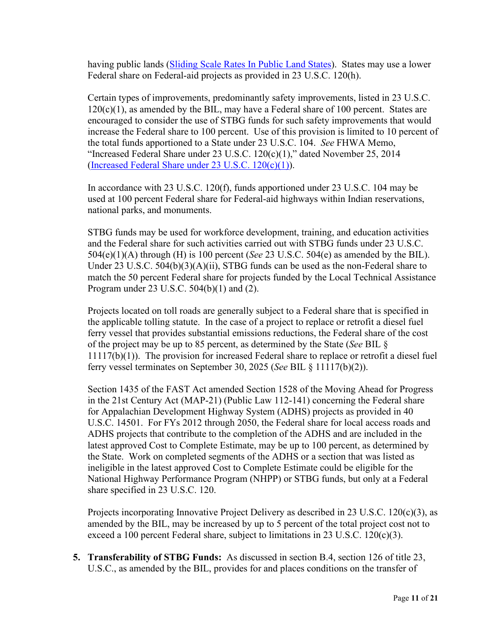having public lands [\(Sliding Scale Rates In Public Land States\)](http://www.fhwa.dot.gov/legsregs/directives/notices/n4540-12.cfm). States may use a lower Federal share on Federal-aid projects as provided in 23 U.S.C. 120(h).

Certain types of improvements, predominantly safety improvements, listed in 23 U.S.C.  $120(c)(1)$ , as amended by the BIL, may have a Federal share of 100 percent. States are encouraged to consider the use of STBG funds for such safety improvements that would increase the Federal share to 100 percent. Use of this provision is limited to 10 percent of the total funds apportioned to a State under 23 U.S.C. 104. *See* FHWA Memo, "Increased Federal Share under 23 U.S.C. 120(c)(1)," dated November 25, 2014 [\(Increased Federal Share under 23 U.S.C. 120\(c\)\(1\)\)](http://www.fhwa.dot.gov/federalaid/141125.cfm).

In accordance with 23 U.S.C. 120(f), funds apportioned under 23 U.S.C. 104 may be used at 100 percent Federal share for Federal-aid highways within Indian reservations, national parks, and monuments.

STBG funds may be used for workforce development, training, and education activities and the Federal share for such activities carried out with STBG funds under 23 U.S.C. 504(e)(1)(A) through (H) is 100 percent (*See* 23 U.S.C. 504(e) as amended by the BIL). Under 23 U.S.C. 504(b)(3)(A)(ii), STBG funds can be used as the non-Federal share to match the 50 percent Federal share for projects funded by the Local Technical Assistance Program under 23 U.S.C. 504(b)(1) and (2).

Projects located on toll roads are generally subject to a Federal share that is specified in the applicable tolling statute. In the case of a project to replace or retrofit a diesel fuel ferry vessel that provides substantial emissions reductions, the Federal share of the cost of the project may be up to 85 percent, as determined by the State (*See* BIL § 11117(b)(1)). The provision for increased Federal share to replace or retrofit a diesel fuel ferry vessel terminates on September 30, 2025 (*See* BIL § 11117(b)(2)).

Section 1435 of the FAST Act amended Section 1528 of the Moving Ahead for Progress in the 21st Century Act (MAP-21) (Public Law 112-141) concerning the Federal share for Appalachian Development Highway System (ADHS) projects as provided in 40 U.S.C. 14501. For FYs 2012 through 2050, the Federal share for local access roads and ADHS projects that contribute to the completion of the ADHS and are included in the latest approved Cost to Complete Estimate, may be up to 100 percent, as determined by the State. Work on completed segments of the ADHS or a section that was listed as ineligible in the latest approved Cost to Complete Estimate could be eligible for the National Highway Performance Program (NHPP) or STBG funds, but only at a Federal share specified in 23 U.S.C. 120.

Projects incorporating Innovative Project Delivery as described in 23 U.S.C.  $120(c)(3)$ , as amended by the BIL, may be increased by up to 5 percent of the total project cost not to exceed a 100 percent Federal share, subject to limitations in 23 U.S.C. 120 $(c)(3)$ .

**5. Transferability of STBG Funds:** As discussed in section B.4, section 126 of title 23, U.S.C., as amended by the BIL, provides for and places conditions on the transfer of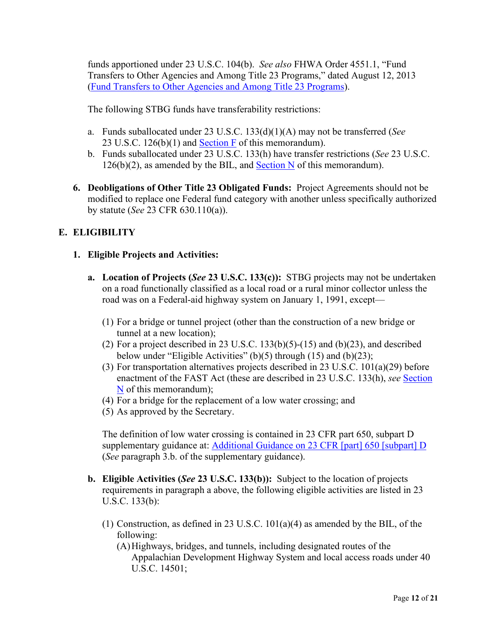funds apportioned under 23 U.S.C. 104(b). *See also* FHWA Order 4551.1, "Fund Transfers to Other Agencies and Among Title 23 Programs," dated August 12, 2013 [\(Fund Transfers to Other Agencies and Among Title 23 Programs\)](http://www.fhwa.dot.gov/legsregs/directives/orders/45511.cfm).

The following STBG funds have transferability restrictions:

- a. Funds suballocated under 23 U.S.C. 133(d)(1)(A) may not be transferred (*See*  23 U.S.C. 126(b)(1) and [Section F](#page-16-0) of this memorandum).
- b. Funds suballocated under 23 U.S.C. 133(h) have transfer restrictions (*See* 23 U.S.C.  $126(b)(2)$ , as amended by the BIL, and [Section N](#page-20-0) of this memorandum).
- **6. Deobligations of Other Title 23 Obligated Funds:** Project Agreements should not be modified to replace one Federal fund category with another unless specifically authorized by statute (*See* 23 CFR 630.110(a)).

# <span id="page-11-0"></span>**E. ELIGIBILITY**

#### **1. Eligible Projects and Activities:**

- **a. Location of Projects (***See* **23 U.S.C. 133(c)):** STBG projects may not be undertaken on a road functionally classified as a local road or a rural minor collector unless the road was on a Federal-aid highway system on January 1, 1991, except—
	- (1) For a bridge or tunnel project (other than the construction of a new bridge or tunnel at a new location);
	- (2) For a project described in 23 U.S.C.  $133(b)(5)-(15)$  and  $(b)(23)$ , and described below under "Eligible Activities" (b)(5) through (15) and (b)(23);
	- (3) For transportation alternatives projects described in 23 U.S.C. 101(a)(29) before enactment of the FAST Act (these are described in 23 U.S.C. 133(h), *see* [Section](#page-20-0)  [N](#page-20-0) of this memorandum);
	- (4) For a bridge for the replacement of a low water crossing; and
	- (5) As approved by the Secretary.

The definition of low water crossing is contained in 23 CFR part 650, subpart D supplementary guidance at: [Additional Guidance on 23 CFR \[part\] 650 \[subpart\] D](https://www.fhwa.dot.gov/bridge/0650dsup.cfm) (*See* paragraph 3.b. of the supplementary guidance).

- **b. Eligible Activities (***See* **23 U.S.C. 133(b)):** Subject to the location of projects requirements in paragraph a above, the following eligible activities are listed in 23 U.S.C. 133(b):
	- (1) Construction, as defined in 23 U.S.C. 101(a)(4) as amended by the BIL, of the following:

(A)Highways, bridges, and tunnels, including designated routes of the Appalachian Development Highway System and local access roads under 40 U.S.C. 14501;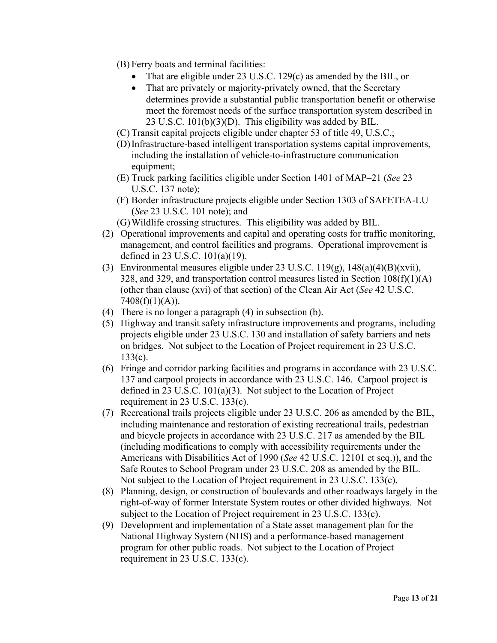- (B) Ferry boats and terminal facilities:
	- That are eligible under 23 U.S.C. 129(c) as amended by the BIL, or
	- That are privately or majority-privately owned, that the Secretary determines provide a substantial public transportation benefit or otherwise meet the foremost needs of the surface transportation system described in 23 U.S.C. 101(b)(3)(D). This eligibility was added by BIL.
- (C) Transit capital projects eligible under chapter 53 of title 49, U.S.C.;
- (D)Infrastructure-based intelligent transportation systems capital improvements, including the installation of vehicle-to-infrastructure communication equipment;
- (E) Truck parking facilities eligible under Section 1401 of MAP–21 (*See* 23 U.S.C. 137 note);
- (F) Border infrastructure projects eligible under Section 1303 of SAFETEA-LU (*See* 23 U.S.C. 101 note); and
- (G)Wildlife crossing structures. This eligibility was added by BIL.
- (2) Operational improvements and capital and operating costs for traffic monitoring, management, and control facilities and programs. Operational improvement is defined in 23 U.S.C. 101(a)(19).
- (3) Environmental measures eligible under 23 U.S.C.  $119(g)$ ,  $148(a)(4)(B)(xvii)$ , 328, and 329, and transportation control measures listed in Section  $108(f)(1)(A)$ (other than clause (xvi) of that section) of the Clean Air Act (*See* 42 U.S.C.  $7408(f)(1)(A)).$
- (4) There is no longer a paragraph (4) in subsection (b).
- (5) Highway and transit safety infrastructure improvements and programs, including projects eligible under 23 U.S.C. 130 and installation of safety barriers and nets on bridges. Not subject to the Location of Project requirement in 23 U.S.C. 133(c).
- (6) Fringe and corridor parking facilities and programs in accordance with 23 U.S.C. 137 and carpool projects in accordance with 23 U.S.C. 146. Carpool project is defined in 23 U.S.C. 101(a)(3). Not subject to the Location of Project requirement in 23 U.S.C. 133(c).
- (7) Recreational trails projects eligible under 23 U.S.C. 206 as amended by the BIL, including maintenance and restoration of existing recreational trails, pedestrian and bicycle projects in accordance with 23 U.S.C. 217 as amended by the BIL (including modifications to comply with accessibility requirements under the Americans with Disabilities Act of 1990 (*See* 42 U.S.C. 12101 et seq.)), and the Safe Routes to School Program under 23 U.S.C. 208 as amended by the BIL. Not subject to the Location of Project requirement in 23 U.S.C. 133(c).
- (8) Planning, design, or construction of boulevards and other roadways largely in the right-of-way of former Interstate System routes or other divided highways. Not subject to the Location of Project requirement in 23 U.S.C. 133(c).
- (9) Development and implementation of a State asset management plan for the National Highway System (NHS) and a performance-based management program for other public roads. Not subject to the Location of Project requirement in 23 U.S.C. 133(c).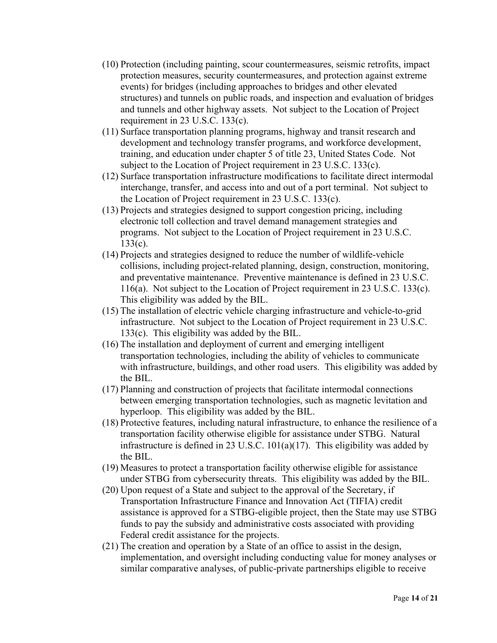- (10) Protection (including painting, scour countermeasures, seismic retrofits, impact protection measures, security countermeasures, and protection against extreme events) for bridges (including approaches to bridges and other elevated structures) and tunnels on public roads, and inspection and evaluation of bridges and tunnels and other highway assets. Not subject to the Location of Project requirement in 23 U.S.C. 133(c).
- (11) Surface transportation planning programs, highway and transit research and development and technology transfer programs, and workforce development, training, and education under chapter 5 of title 23, United States Code. Not subject to the Location of Project requirement in 23 U.S.C. 133(c).
- (12) Surface transportation infrastructure modifications to facilitate direct intermodal interchange, transfer, and access into and out of a port terminal. Not subject to the Location of Project requirement in 23 U.S.C. 133(c).
- (13) Projects and strategies designed to support congestion pricing, including electronic toll collection and travel demand management strategies and programs. Not subject to the Location of Project requirement in 23 U.S.C. 133(c).
- (14) Projects and strategies designed to reduce the number of wildlife-vehicle collisions, including project-related planning, design, construction, monitoring, and preventative maintenance. Preventive maintenance is defined in 23 U.S.C. 116(a). Not subject to the Location of Project requirement in 23 U.S.C. 133(c). This eligibility was added by the BIL.
- (15) The installation of electric vehicle charging infrastructure and vehicle-to-grid infrastructure. Not subject to the Location of Project requirement in 23 U.S.C. 133(c). This eligibility was added by the BIL.
- (16) The installation and deployment of current and emerging intelligent transportation technologies, including the ability of vehicles to communicate with infrastructure, buildings, and other road users. This eligibility was added by the BIL.
- (17) Planning and construction of projects that facilitate intermodal connections between emerging transportation technologies, such as magnetic levitation and hyperloop. This eligibility was added by the BIL.
- (18) Protective features, including natural infrastructure, to enhance the resilience of a transportation facility otherwise eligible for assistance under STBG. Natural infrastructure is defined in 23 U.S.C. 101(a)(17). This eligibility was added by the BIL.
- (19) Measures to protect a transportation facility otherwise eligible for assistance under STBG from cybersecurity threats. This eligibility was added by the BIL.
- (20) Upon request of a State and subject to the approval of the Secretary, if Transportation Infrastructure Finance and Innovation Act (TIFIA) credit assistance is approved for a STBG-eligible project, then the State may use STBG funds to pay the subsidy and administrative costs associated with providing Federal credit assistance for the projects.
- (21) The creation and operation by a State of an office to assist in the design, implementation, and oversight including conducting value for money analyses or similar comparative analyses, of public-private partnerships eligible to receive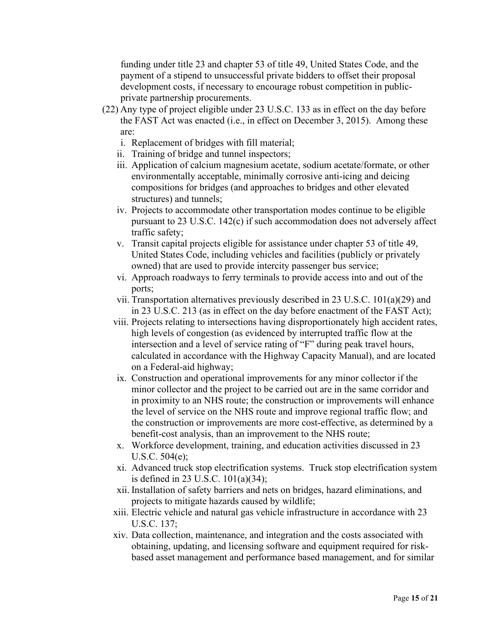funding under title 23 and chapter 53 of title 49, United States Code, and the payment of a stipend to unsuccessful private bidders to offset their proposal development costs, if necessary to encourage robust competition in publicprivate partnership procurements.

- (22) Any type of project eligible under 23 U.S.C. 133 as in effect on the day before the FAST Act was enacted (i.e., in effect on December 3, 2015). Among these are:
	- i. Replacement of bridges with fill material;
	- ii. Training of bridge and tunnel inspectors;
	- iii. Application of calcium magnesium acetate, sodium acetate/formate, or other environmentally acceptable, minimally corrosive anti-icing and deicing compositions for bridges (and approaches to bridges and other elevated structures) and tunnels;
	- iv. Projects to accommodate other transportation modes continue to be eligible pursuant to 23 U.S.C. 142(c) if such accommodation does not adversely affect traffic safety;
	- v. Transit capital projects eligible for assistance under chapter 53 of title 49, United States Code, including vehicles and facilities (publicly or privately owned) that are used to provide intercity passenger bus service;
	- vi. Approach roadways to ferry terminals to provide access into and out of the ports;
	- vii. Transportation alternatives previously described in 23 U.S.C. 101(a)(29) and in 23 U.S.C. 213 (as in effect on the day before enactment of the FAST Act);
	- viii. Projects relating to intersections having disproportionately high accident rates, high levels of congestion (as evidenced by interrupted traffic flow at the intersection and a level of service rating of "F" during peak travel hours, calculated in accordance with the Highway Capacity Manual), and are located on a Federal-aid highway;
	- ix. Construction and operational improvements for any minor collector if the minor collector and the project to be carried out are in the same corridor and in proximity to an NHS route; the construction or improvements will enhance the level of service on the NHS route and improve regional traffic flow; and the construction or improvements are more cost-effective, as determined by a benefit-cost analysis, than an improvement to the NHS route;
	- x. Workforce development, training, and education activities discussed in 23 U.S.C. 504(e);
	- xi. Advanced truck stop electrification systems. Truck stop electrification system is defined in 23 U.S.C. 101(a)(34);
	- xii. Installation of safety barriers and nets on bridges, hazard eliminations, and projects to mitigate hazards caused by wildlife;
	- xiii. Electric vehicle and natural gas vehicle infrastructure in accordance with 23 U.S.C. 137;
	- xiv. Data collection, maintenance, and integration and the costs associated with obtaining, updating, and licensing software and equipment required for riskbased asset management and performance based management, and for similar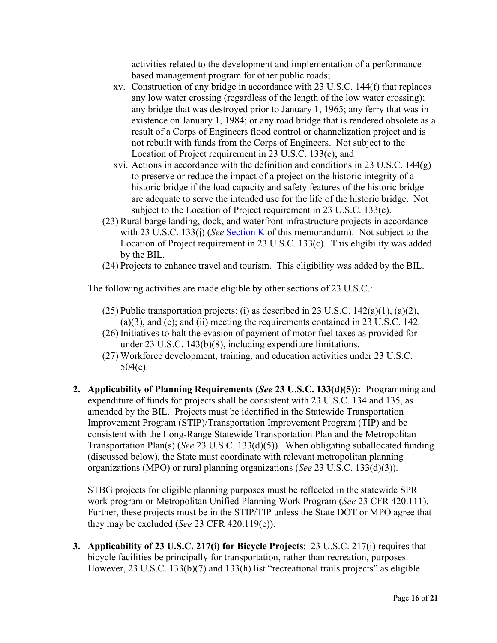activities related to the development and implementation of a performance based management program for other public roads;

- xv. Construction of any bridge in accordance with 23 U.S.C. 144(f) that replaces any low water crossing (regardless of the length of the low water crossing); any bridge that was destroyed prior to January 1, 1965; any ferry that was in existence on January 1, 1984; or any road bridge that is rendered obsolete as a result of a Corps of Engineers flood control or channelization project and is not rebuilt with funds from the Corps of Engineers. Not subject to the Location of Project requirement in 23 U.S.C. 133(c); and
- xvi. Actions in accordance with the definition and conditions in 23 U.S.C. 144(g) to preserve or reduce the impact of a project on the historic integrity of a historic bridge if the load capacity and safety features of the historic bridge are adequate to serve the intended use for the life of the historic bridge. Not subject to the Location of Project requirement in 23 U.S.C. 133(c).
- (23) Rural barge landing, dock, and waterfront infrastructure projects in accordance with 23 U.S.C. 133(j) (*See* [Section K](#page-19-0) of this memorandum). Not subject to the Location of Project requirement in 23 U.S.C. 133(c). This eligibility was added by the BIL.
- (24) Projects to enhance travel and tourism. This eligibility was added by the BIL.

The following activities are made eligible by other sections of 23 U.S.C.:

- (25) Public transportation projects: (i) as described in 23 U.S.C.  $142(a)(1)$ ,  $(a)(2)$ ,  $(a)(3)$ , and  $(c)$ ; and  $(ii)$  meeting the requirements contained in 23 U.S.C. 142.
- (26) Initiatives to halt the evasion of payment of motor fuel taxes as provided for under 23 U.S.C. 143(b)(8), including expenditure limitations.
- (27) Workforce development, training, and education activities under 23 U.S.C. 504(e).
- **2. Applicability of Planning Requirements (***See* **23 U.S.C. 133(d)(5)):** Programming and expenditure of funds for projects shall be consistent with 23 U.S.C. 134 and 135, as amended by the BIL. Projects must be identified in the Statewide Transportation Improvement Program (STIP)/Transportation Improvement Program (TIP) and be consistent with the Long-Range Statewide Transportation Plan and the Metropolitan Transportation Plan(s) (*See* 23 U.S.C. 133(d)(5)). When obligating suballocated funding (discussed below), the State must coordinate with relevant metropolitan planning organizations (MPO) or rural planning organizations (*See* 23 U.S.C. 133(d)(3)).

STBG projects for eligible planning purposes must be reflected in the statewide SPR work program or Metropolitan Unified Planning Work Program (*See* 23 CFR 420.111). Further, these projects must be in the STIP/TIP unless the State DOT or MPO agree that they may be excluded (*See* 23 CFR 420.119(e)).

**3. Applicability of 23 U.S.C. 217(i) for Bicycle Projects**: 23 U.S.C. 217(i) requires that bicycle facilities be principally for transportation, rather than recreation, purposes. However, 23 U.S.C. 133(b)(7) and 133(h) list "recreational trails projects" as eligible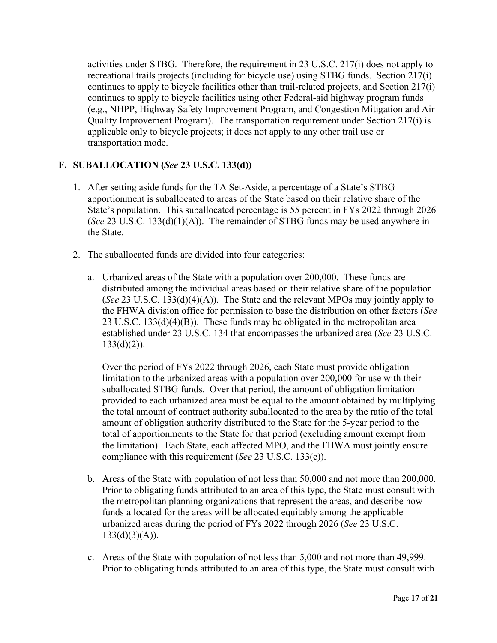activities under STBG. Therefore, the requirement in 23 U.S.C. 217(i) does not apply to recreational trails projects (including for bicycle use) using STBG funds. Section 217(i) continues to apply to bicycle facilities other than trail-related projects, and Section 217(i) continues to apply to bicycle facilities using other Federal-aid highway program funds (e.g., NHPP, Highway Safety Improvement Program, and Congestion Mitigation and Air Quality Improvement Program). The transportation requirement under Section 217(i) is applicable only to bicycle projects; it does not apply to any other trail use or transportation mode.

# <span id="page-16-0"></span>**F. SUBALLOCATION (***See* **23 U.S.C. 133(d))**

- 1. After setting aside funds for the TA Set-Aside, a percentage of a State's STBG apportionment is suballocated to areas of the State based on their relative share of the State's population. This suballocated percentage is 55 percent in FYs 2022 through 2026 (*See* 23 U.S.C. 133(d)(1)(A)). The remainder of STBG funds may be used anywhere in the State.
- 2. The suballocated funds are divided into four categories:
	- a. Urbanized areas of the State with a population over 200,000. These funds are distributed among the individual areas based on their relative share of the population (*See* 23 U.S.C. 133(d)(4)(A)). The State and the relevant MPOs may jointly apply to the FHWA division office for permission to base the distribution on other factors (*See*  23 U.S.C. 133(d)(4)(B)). These funds may be obligated in the metropolitan area established under 23 U.S.C. 134 that encompasses the urbanized area (*See* 23 U.S.C.  $133(d)(2)$ ).

Over the period of FYs 2022 through 2026, each State must provide obligation limitation to the urbanized areas with a population over 200,000 for use with their suballocated STBG funds. Over that period, the amount of obligation limitation provided to each urbanized area must be equal to the amount obtained by multiplying the total amount of contract authority suballocated to the area by the ratio of the total amount of obligation authority distributed to the State for the 5-year period to the total of apportionments to the State for that period (excluding amount exempt from the limitation). Each State, each affected MPO, and the FHWA must jointly ensure compliance with this requirement (*See* 23 U.S.C. 133(e)).

- b. Areas of the State with population of not less than 50,000 and not more than 200,000. Prior to obligating funds attributed to an area of this type, the State must consult with the metropolitan planning organizations that represent the areas, and describe how funds allocated for the areas will be allocated equitably among the applicable urbanized areas during the period of FYs 2022 through 2026 (*See* 23 U.S.C.  $133(d)(3)(A)).$
- c. Areas of the State with population of not less than 5,000 and not more than 49,999. Prior to obligating funds attributed to an area of this type, the State must consult with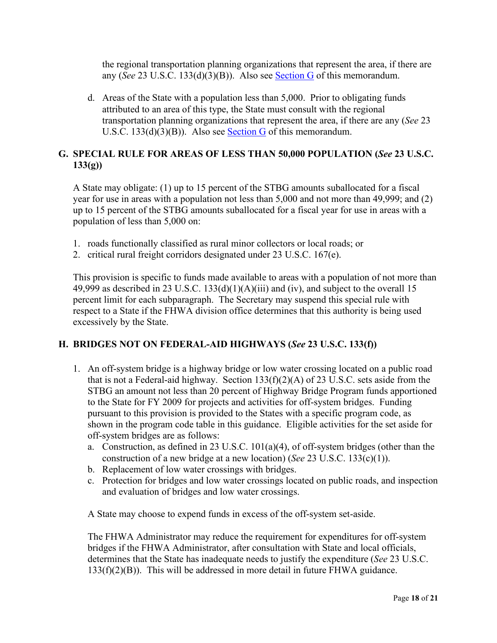the regional transportation planning organizations that represent the area, if there are any (*See* 23 U.S.C. 133(d)(3)(B)). Also see [Section G](#page-17-0) of this memorandum.

d. Areas of the State with a population less than 5,000. Prior to obligating funds attributed to an area of this type, the State must consult with the regional transportation planning organizations that represent the area, if there are any (*See* 23 U.S.C. 133(d)(3)(B)). Also see [Section G](#page-17-0) of this memorandum.

# <span id="page-17-0"></span>**G. SPECIAL RULE FOR AREAS OF LESS THAN 50,000 POPULATION (***See* **23 U.S.C. 133(g))**

A State may obligate: (1) up to 15 percent of the STBG amounts suballocated for a fiscal year for use in areas with a population not less than 5,000 and not more than 49,999; and (2) up to 15 percent of the STBG amounts suballocated for a fiscal year for use in areas with a population of less than 5,000 on:

- 1. roads functionally classified as rural minor collectors or local roads; or
- 2. critical rural freight corridors designated under 23 U.S.C. 167(e).

This provision is specific to funds made available to areas with a population of not more than 49,999 as described in 23 U.S.C.  $133(d)(1)(A)(iii)$  and (iv), and subject to the overall 15 percent limit for each subparagraph. The Secretary may suspend this special rule with respect to a State if the FHWA division office determines that this authority is being used excessively by the State.

## <span id="page-17-1"></span>**H. BRIDGES NOT ON FEDERAL-AID HIGHWAYS (***See* **23 U.S.C. 133(f))**

- 1. An off-system bridge is a highway bridge or low water crossing located on a public road that is not a Federal-aid highway. Section  $133(f)(2)(A)$  of 23 U.S.C. sets aside from the STBG an amount not less than 20 percent of Highway Bridge Program funds apportioned to the State for FY 2009 for projects and activities for off-system bridges. Funding pursuant to this provision is provided to the States with a specific program code, as shown in the program code table in this guidance. Eligible activities for the set aside for off-system bridges are as follows:
	- a. Construction, as defined in 23 U.S.C. 101(a)(4), of off-system bridges (other than the construction of a new bridge at a new location) (*See* 23 U.S.C. 133(c)(1)).
	- b. Replacement of low water crossings with bridges.
	- c. Protection for bridges and low water crossings located on public roads, and inspection and evaluation of bridges and low water crossings.

A State may choose to expend funds in excess of the off-system set-aside.

The FHWA Administrator may reduce the requirement for expenditures for off-system bridges if the FHWA Administrator, after consultation with State and local officials, determines that the State has inadequate needs to justify the expenditure (*See* 23 U.S.C.  $133(f)(2)(B)$ . This will be addressed in more detail in future FHWA guidance.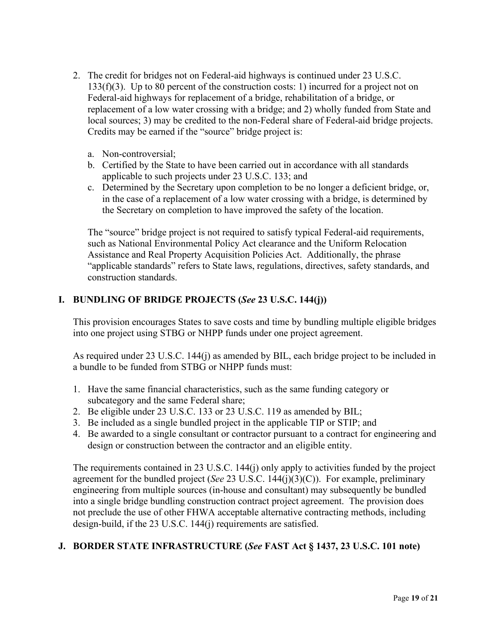- 2. The credit for bridges not on Federal-aid highways is continued under 23 U.S.C. 133(f)(3). Up to 80 percent of the construction costs: 1) incurred for a project not on Federal-aid highways for replacement of a bridge, rehabilitation of a bridge, or replacement of a low water crossing with a bridge; and 2) wholly funded from State and local sources; 3) may be credited to the non-Federal share of Federal-aid bridge projects. Credits may be earned if the "source" bridge project is:
	- a. Non-controversial;
	- b. Certified by the State to have been carried out in accordance with all standards applicable to such projects under 23 U.S.C. 133; and
	- c. Determined by the Secretary upon completion to be no longer a deficient bridge, or, in the case of a replacement of a low water crossing with a bridge, is determined by the Secretary on completion to have improved the safety of the location.

The "source" bridge project is not required to satisfy typical Federal-aid requirements, such as National Environmental Policy Act clearance and the Uniform Relocation Assistance and Real Property Acquisition Policies Act. Additionally, the phrase "applicable standards" refers to State laws, regulations, directives, safety standards, and construction standards.

# <span id="page-18-0"></span>**I. BUNDLING OF BRIDGE PROJECTS (***See* **23 U.S.C. 144(j))**

This provision encourages States to save costs and time by bundling multiple eligible bridges into one project using STBG or NHPP funds under one project agreement.

As required under 23 U.S.C. 144(j) as amended by BIL, each bridge project to be included in a bundle to be funded from STBG or NHPP funds must:

- 1. Have the same financial characteristics, such as the same funding category or subcategory and the same Federal share;
- 2. Be eligible under 23 U.S.C. 133 or 23 U.S.C. 119 as amended by BIL;
- 3. Be included as a single bundled project in the applicable TIP or STIP; and
- 4. Be awarded to a single consultant or contractor pursuant to a contract for engineering and design or construction between the contractor and an eligible entity.

The requirements contained in 23 U.S.C. 144(j) only apply to activities funded by the project agreement for the bundled project (*See* 23 U.S.C. 144(j)(3)(C)). For example, preliminary engineering from multiple sources (in-house and consultant) may subsequently be bundled into a single bridge bundling construction contract project agreement. The provision does not preclude the use of other FHWA acceptable alternative contracting methods, including design-build, if the 23 U.S.C. 144(j) requirements are satisfied.

# <span id="page-18-1"></span>**J. BORDER STATE INFRASTRUCTURE (***See* **FAST Act § 1437, 23 U.S.C. 101 note)**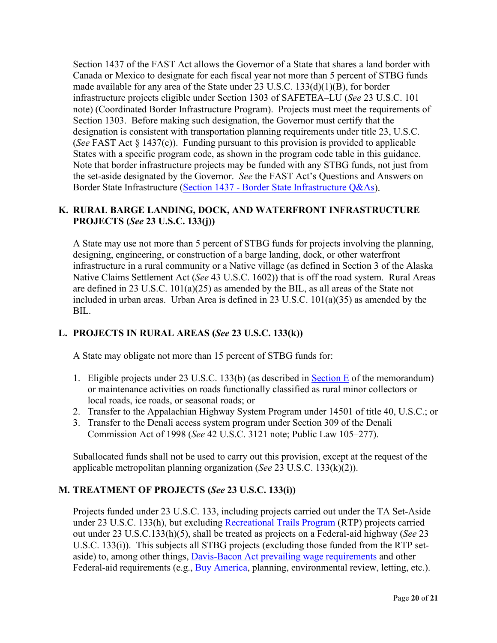Section 1437 of the FAST Act allows the Governor of a State that shares a land border with Canada or Mexico to designate for each fiscal year not more than 5 percent of STBG funds made available for any area of the State under 23 U.S.C. 133(d)(1)(B), for border infrastructure projects eligible under Section 1303 of SAFETEA–LU (*See* 23 U.S.C. 101 note) (Coordinated Border Infrastructure Program). Projects must meet the requirements of Section 1303. Before making such designation, the Governor must certify that the designation is consistent with transportation planning requirements under title 23, U.S.C. (*See* FAST Act § 1437(c)). Funding pursuant to this provision is provided to applicable States with a specific program code, as shown in the program code table in this guidance. Note that border infrastructure projects may be funded with any STBG funds, not just from the set-aside designated by the Governor. *See* the FAST Act's Questions and Answers on Border State Infrastructure [\(Section 1437 - Border State Infrastructure Q&As\)](http://www.fhwa.dot.gov/hep/guidance/section1437.cfm).

# <span id="page-19-0"></span>**K. RURAL BARGE LANDING, DOCK, AND WATERFRONT INFRASTRUCTURE PROJECTS (***See* **23 U.S.C. 133(j))**

A State may use not more than 5 percent of STBG funds for projects involving the planning, designing, engineering, or construction of a barge landing, dock, or other waterfront infrastructure in a rural community or a Native village (as defined in Section 3 of the Alaska Native Claims Settlement Act (*See* 43 U.S.C. 1602)) that is off the road system. Rural Areas are defined in 23 U.S.C. 101(a)(25) as amended by the BIL, as all areas of the State not included in urban areas. Urban Area is defined in 23 U.S.C. 101(a)(35) as amended by the BIL.

# <span id="page-19-1"></span>**L. PROJECTS IN RURAL AREAS (***See* **23 U.S.C. 133(k))**

A State may obligate not more than 15 percent of STBG funds for:

- 1. Eligible projects under 23 U.S.C. 133(b) (as described in [Section E](#page-11-0) of the memorandum) or maintenance activities on roads functionally classified as rural minor collectors or local roads, ice roads, or seasonal roads; or
- 2. Transfer to the Appalachian Highway System Program under 14501 of title 40, U.S.C.; or
- 3. Transfer to the Denali access system program under Section 309 of the Denali Commission Act of 1998 (*See* 42 U.S.C. 3121 note; Public Law 105–277).

Suballocated funds shall not be used to carry out this provision, except at the request of the applicable metropolitan planning organization (*See* 23 U.S.C. 133(k)(2)).

## <span id="page-19-2"></span>**M. TREATMENT OF PROJECTS (***See* **23 U.S.C. 133(i))**

Projects funded under 23 U.S.C. 133, including projects carried out under the TA Set-Aside under 23 U.S.C. 133(h), but excluding [Recreational Trails Program](http://www.fhwa.dot.gov/environment/recreational_trails/) (RTP) projects carried out under 23 U.S.C.133(h)(5), shall be treated as projects on a Federal-aid highway (*See* 23 U.S.C. 133(i)). This subjects all STBG projects (excluding those funded from the RTP setaside) to, among other things, Davis-Bacon [Act prevailing wage requirements](http://www.fhwa.dot.gov/construction/cqit/dbacon.cfm) and other Federal-aid requirements (e.g., [Buy America,](https://www.fhwa.dot.gov/construction/cqit/buyam.cfm) planning, environmental review, letting, etc.).